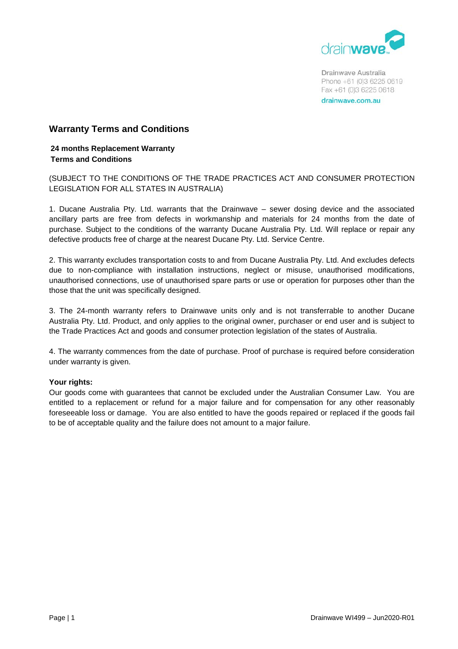

Drainwave Australia Phone +61 (0)3 6225 0619 Fax +61 (0)3 6225 0618

drainwave.com.au

# **Warranty Terms and Conditions**

### **24 months Replacement Warranty Terms and Conditions**

### (SUBJECT TO THE CONDITIONS OF THE TRADE PRACTICES ACT AND CONSUMER PROTECTION LEGISLATION FOR ALL STATES IN AUSTRALIA)

1. Ducane Australia Pty. Ltd. warrants that the Drainwave – sewer dosing device and the associated ancillary parts are free from defects in workmanship and materials for 24 months from the date of purchase. Subject to the conditions of the warranty Ducane Australia Pty. Ltd. Will replace or repair any defective products free of charge at the nearest Ducane Pty. Ltd. Service Centre.

2. This warranty excludes transportation costs to and from Ducane Australia Pty. Ltd. And excludes defects due to non-compliance with installation instructions, neglect or misuse, unauthorised modifications, unauthorised connections, use of unauthorised spare parts or use or operation for purposes other than the those that the unit was specifically designed.

3. The 24-month warranty refers to Drainwave units only and is not transferrable to another Ducane Australia Pty. Ltd. Product, and only applies to the original owner, purchaser or end user and is subject to the Trade Practices Act and goods and consumer protection legislation of the states of Australia.

4. The warranty commences from the date of purchase. Proof of purchase is required before consideration under warranty is given.

### **Your rights:**

Our goods come with guarantees that cannot be excluded under the Australian Consumer Law. You are entitled to a replacement or refund for a major failure and for compensation for any other reasonably foreseeable loss or damage. You are also entitled to have the goods repaired or replaced if the goods fail to be of acceptable quality and the failure does not amount to a major failure.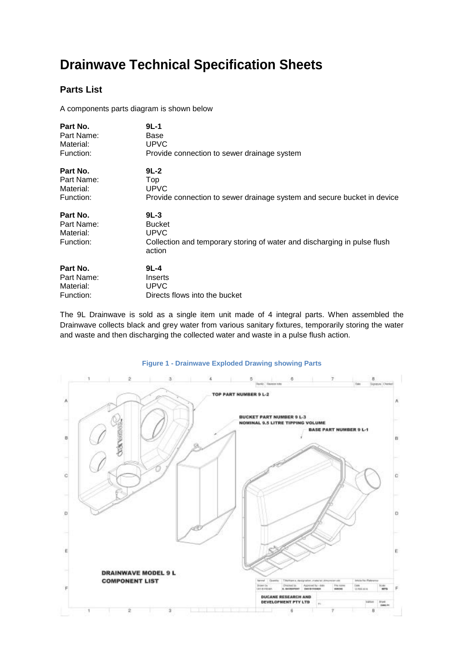# **Drainwave Technical Specification Sheets**

# **Parts List**

A components parts diagram is shown below

| Part No.                                         | $9L-1$                                                                                                                       |
|--------------------------------------------------|------------------------------------------------------------------------------------------------------------------------------|
| Part Name:                                       | Base                                                                                                                         |
| Material:                                        | <b>UPVC</b>                                                                                                                  |
| Function:                                        | Provide connection to sewer drainage system                                                                                  |
| Part No.                                         | $9L-2$                                                                                                                       |
| Part Name:                                       | Top                                                                                                                          |
| Material:                                        | <b>UPVC</b>                                                                                                                  |
| Function:                                        | Provide connection to sewer drainage system and secure bucket in device                                                      |
| Part No.<br>Part Name:<br>Material:<br>Function: | $9L-3$<br><b>Bucket</b><br><b>UPVC</b><br>Collection and temporary storing of water and discharging in pulse flush<br>action |
| Part No.                                         | $9L-4$                                                                                                                       |
| Part Name:                                       | Inserts                                                                                                                      |
| Material:                                        | <b>UPVC</b>                                                                                                                  |
| Function:                                        | Directs flows into the bucket                                                                                                |

The 9L Drainwave is sold as a single item unit made of 4 integral parts. When assembled the Drainwave collects black and grey water from various sanitary fixtures, temporarily storing the water and waste and then discharging the collected water and waste in a pulse flush action.



#### **Figure 1 - Drainwave Exploded Drawing showing Parts**